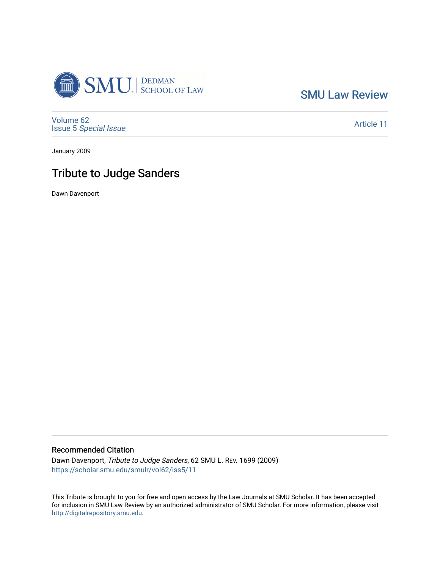

[SMU Law Review](https://scholar.smu.edu/smulr) 

[Volume 62](https://scholar.smu.edu/smulr/vol62) Issue 5 [Special Issue](https://scholar.smu.edu/smulr/vol62/iss5)

[Article 11](https://scholar.smu.edu/smulr/vol62/iss5/11) 

January 2009

## Tribute to Judge Sanders

Dawn Davenport

## Recommended Citation

Dawn Davenport, Tribute to Judge Sanders, 62 SMU L. REV. 1699 (2009) [https://scholar.smu.edu/smulr/vol62/iss5/11](https://scholar.smu.edu/smulr/vol62/iss5/11?utm_source=scholar.smu.edu%2Fsmulr%2Fvol62%2Fiss5%2F11&utm_medium=PDF&utm_campaign=PDFCoverPages)

This Tribute is brought to you for free and open access by the Law Journals at SMU Scholar. It has been accepted for inclusion in SMU Law Review by an authorized administrator of SMU Scholar. For more information, please visit [http://digitalrepository.smu.edu.](http://digitalrepository.smu.edu/)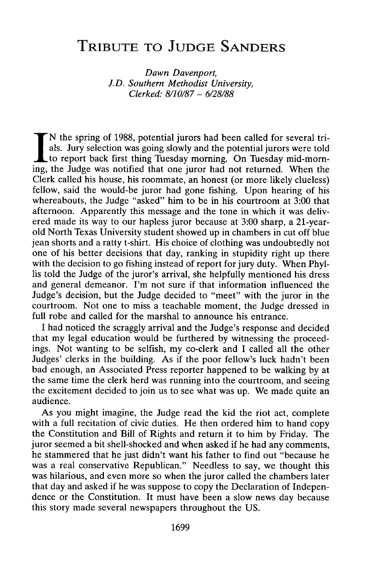## **TRIBUTE TO JUDGE SANDERS**

*Dawn Davenport, J.D. Southern Methodist University, Clerked: 8/10/87* - *6/28/88*

N the spring of 1988, potential jurors had been called for several trials. Jury selection was going slowly and the potential jurors were told to report back first thing Tuesday morning. On Tuesday mid-morning, the Judge was notified that one juror had not returned. When the Clerk called his house, his roommate, an honest (or more likely clueless) fellow, said the would-be juror had gone fishing. Upon hearing of his whereabouts, the Judge "asked" him to be in his courtroom at 3:00 that afternoon. Apparently this message and the tone in which it was delivered made its way to our hapless juror because at 3:00 sharp, a 21-yearold North Texas University student showed up in chambers in cut off blue jean shorts and a ratty t-shirt. His choice of clothing was undoubtedly not one of his better decisions that day, ranking in stupidity right up there with the decision to go fishing instead of report for jury duty. When Phyllis told the Judge of the juror's arrival, she helpfully mentioned his dress and general demeanor. I'm not sure if that information influenced the Judge's decision, but the Judge decided to "meet" with the juror in the courtroom. Not one to miss a teachable moment, the Judge dressed in full robe and called for the marshal to announce his entrance.

I had noticed the scraggly arrival and the Judge's response and decided that my legal education would be furthered by witnessing the proceedings. Not wanting to be selfish, my co-clerk and I called all the other Judges' clerks in the building. As if the poor fellow's luck hadn't been bad enough, an Associated Press reporter happened to be walking by at the same time the clerk herd was running into the courtroom, and seeing the excitement decided to join us to see what was up. We made quite an audience.

As you might imagine, the Judge read the kid the riot act, complete with a full recitation of civic duties. He then ordered him to hand copy the Constitution and Bill of Rights and return it to him by Friday. The juror seemed a bit shell-shocked and when asked if he had any comments, he stammered that he just didn't want his father to find out "because he was a real conservative Republican." Needless to say, we thought this was hilarious, and even more so when the juror called the chambers later that day and asked if he was suppose to copy the Declaration of Independence or the Constitution. It must have been a slow news day because this story made several newspapers throughout the US.